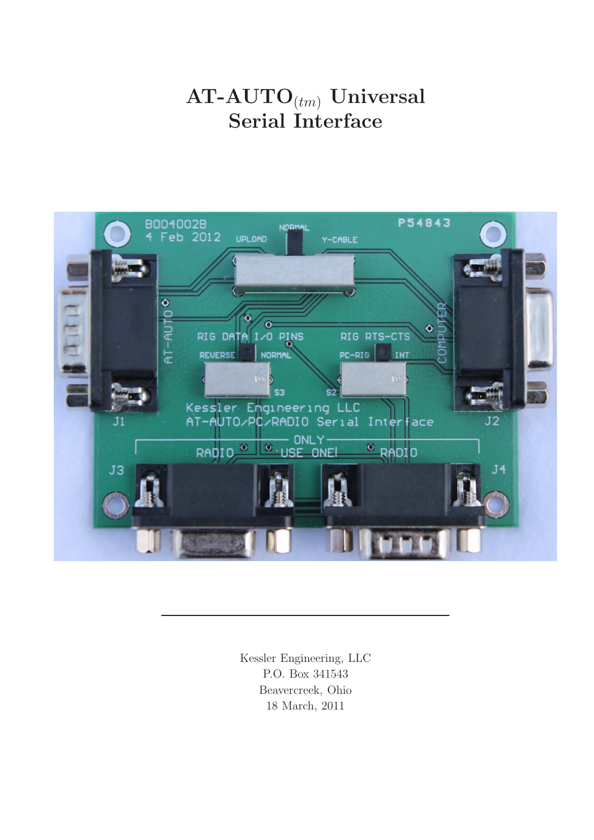# $AT-AUTO_{(tm)}$  Universal Serial Interface



Kessler Engineering, LLC P.O. Box 341543 Beavercreek, Ohio 18 March, 2011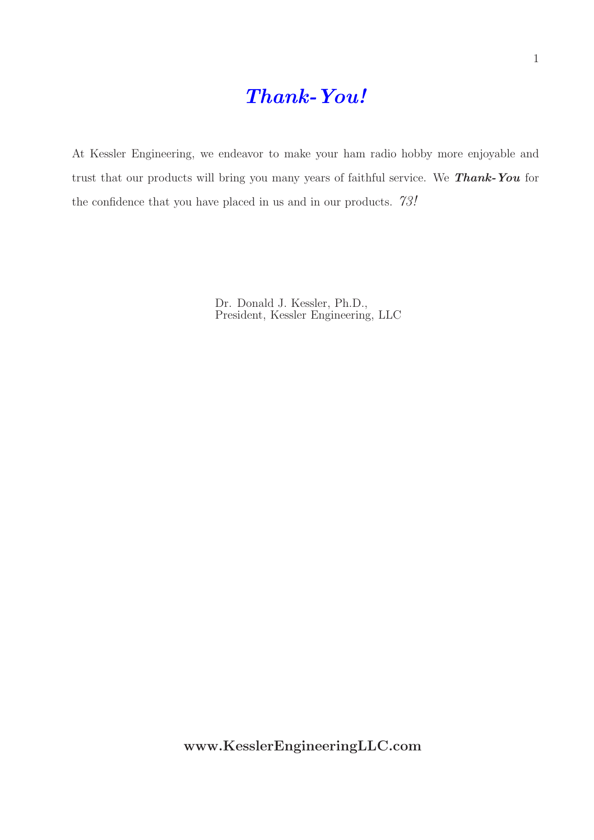## Thank-You!

At Kessler Engineering, we endeavor to make your ham radio hobby more enjoyable and trust that our products will bring you many years of faithful service. We **Thank-You** for the confidence that you have placed in us and in our products.  $73!$ 

> Dr. Donald J. Kessler, Ph.D., President, Kessler Engineering, LLC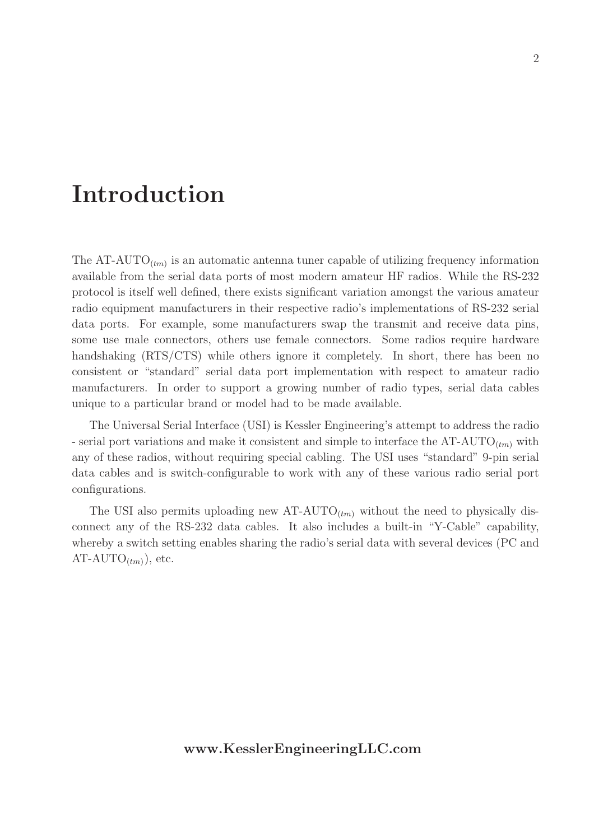# Introduction

The  $AT-AUTO_{(tm)}$  is an automatic antenna tuner capable of utilizing frequency information available from the serial data ports of most modern amateur HF radios. While the RS-232 protocol is itself well defined, there exists significant variation amongst the various amateur radio equipment manufacturers in their respective radio's implementations of RS-232 serial data ports. For example, some manufacturers swap the transmit and receive data pins, some use male connectors, others use female connectors. Some radios require hardware handshaking (RTS/CTS) while others ignore it completely. In short, there has been no consistent or "standard" serial data port implementation with respect to amateur radio manufacturers. In order to support a growing number of radio types, serial data cables unique to a particular brand or model had to be made available.

The Universal Serial Interface (USI) is Kessler Engineering's attempt to address the radio - serial port variations and make it consistent and simple to interface the  $AT-AUTO_{(tm)}$  with any of these radios, without requiring special cabling. The USI uses "standard" 9-pin serial data cables and is switch-configurable to work with any of these various radio serial port configurations.

The USI also permits uploading new  $AT-AUTO_{(tm)}$  without the need to physically disconnect any of the RS-232 data cables. It also includes a built-in "Y-Cable" capability, whereby a switch setting enables sharing the radio's serial data with several devices (PC and  $AT-AUTO_{(tm)}),$  etc.

#### www.KesslerEngineeringLLC.com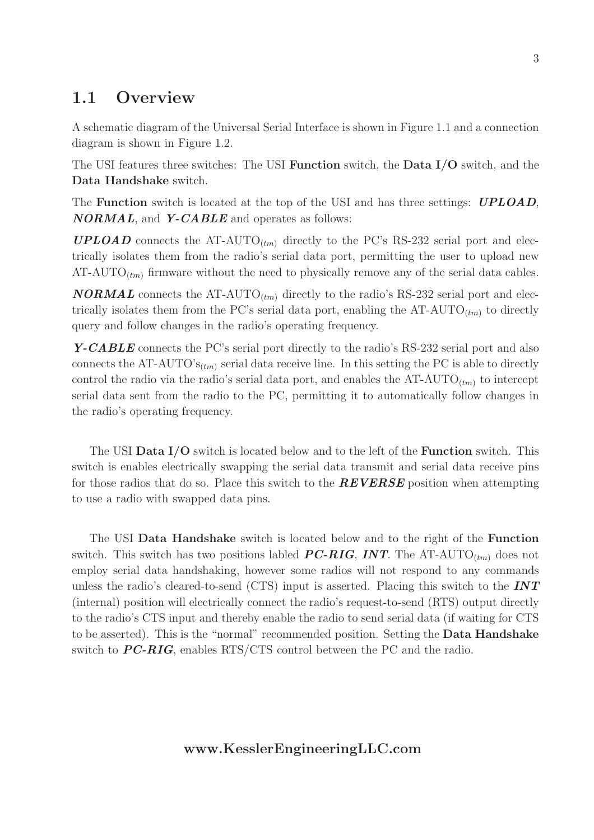### 1.1 Overview

A schematic diagram of the Universal Serial Interface is shown in Figure 1.1 and a connection diagram is shown in Figure 1.2.

The USI features three switches: The USI Function switch, the Data I/O switch, and the Data Handshake switch.

The **Function** switch is located at the top of the USI and has three settings: **UPLOAD**,  $NORMAL$ , and  $Y-CABLE$  and operates as follows:

**UPLOAD** connects the AT-AUTO<sub>(tm)</sub> directly to the PC's RS-232 serial port and electrically isolates them from the radio's serial data port, permitting the user to upload new AT-AUTO<sub> $(t_m)$ </sub> firmware without the need to physically remove any of the serial data cables.

**NORMAL** connects the AT-AUTO<sub>(tm)</sub> directly to the radio's RS-232 serial port and electrically isolates them from the PC's serial data port, enabling the  $AT-AUTO_{(tm)}$  to directly query and follow changes in the radio's operating frequency.

Y-CABLE connects the PC's serial port directly to the radio's RS-232 serial port and also connects the AT-AUTO' $s_{(tm)}$  serial data receive line. In this setting the PC is able to directly control the radio via the radio's serial data port, and enables the  $AT-AUTO_{(tm)}$  to intercept serial data sent from the radio to the PC, permitting it to automatically follow changes in the radio's operating frequency.

The USI Data I/O switch is located below and to the left of the Function switch. This switch is enables electrically swapping the serial data transmit and serial data receive pins for those radios that do so. Place this switch to the **REVERSE** position when attempting to use a radio with swapped data pins.

The USI Data Handshake switch is located below and to the right of the Function switch. This switch has two positions labled **PC-RIG**, **INT**. The AT-AUTO<sub>(tm)</sub> does not employ serial data handshaking, however some radios will not respond to any commands unless the radio's cleared-to-send (CTS) input is asserted. Placing this switch to the  $INT$ (internal) position will electrically connect the radio's request-to-send (RTS) output directly to the radio's CTS input and thereby enable the radio to send serial data (if waiting for CTS to be asserted). This is the "normal" recommended position. Setting the Data Handshake switch to  $PC\text{-}RIG$ , enables RTS/CTS control between the PC and the radio.

#### www.KesslerEngineeringLLC.com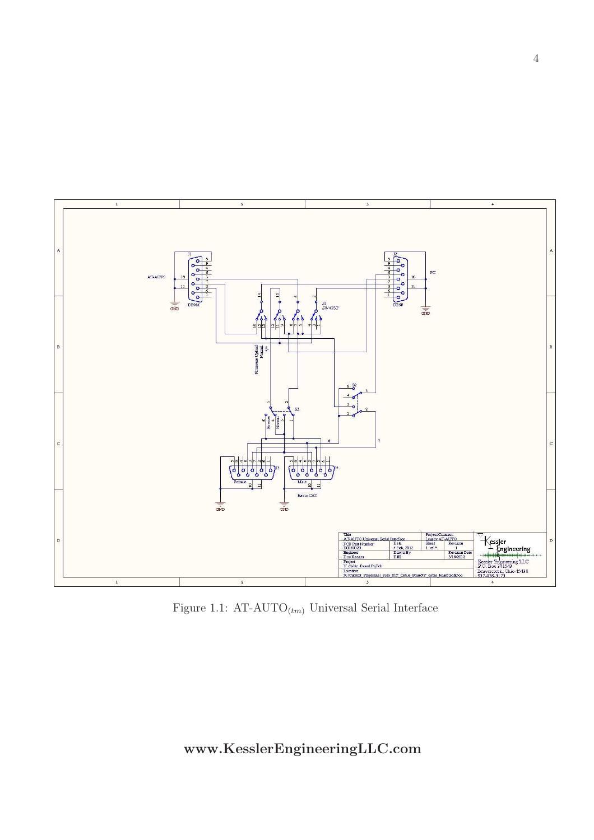

Figure 1.1: AT-AUTO $_{(tm)}$  Universal Serial Interface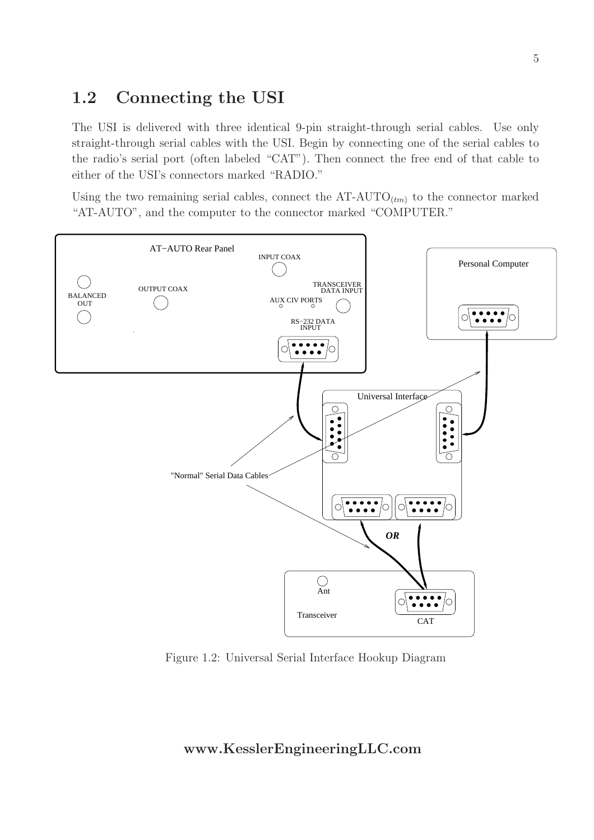## 1.2 Connecting the USI

The USI is delivered with three identical 9-pin straight-through serial cables. Use only straight-through serial cables with the USI. Begin by connecting one of the serial cables to the radio's serial port (often labeled "CAT"). Then connect the free end of that cable to either of the USI's connectors marked "RADIO."

Using the two remaining serial cables, connect the  $AT-AUTO_{(tm)}$  to the connector marked "AT-AUTO", and the computer to the connector marked "COMPUTER."



Figure 1.2: Universal Serial Interface Hookup Diagram

#### www.KesslerEngineeringLLC.com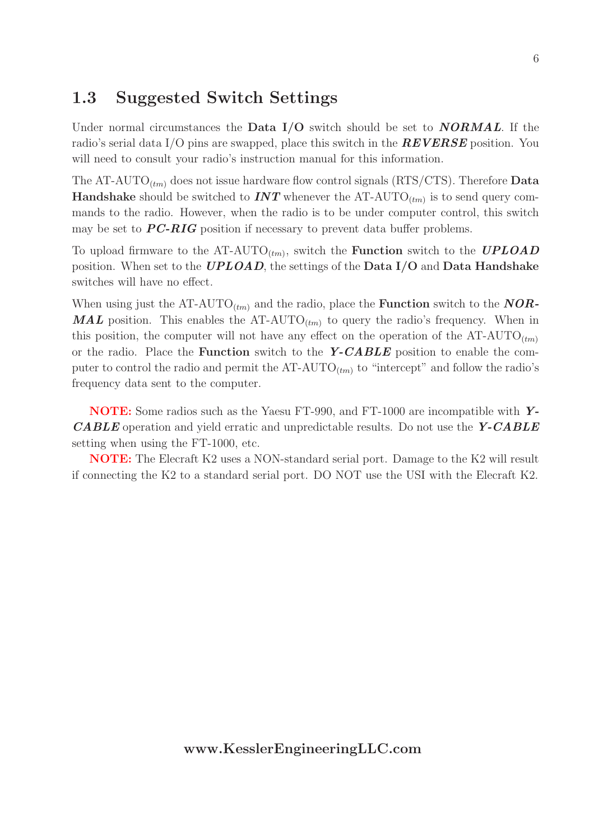### 1.3 Suggested Switch Settings

Under normal circumstances the **Data I/O** switch should be set to **NORMAL**. If the radio's serial data I/O pins are swapped, place this switch in the **REVERSE** position. You will need to consult your radio's instruction manual for this information.

The AT-AUTO<sub>(tm)</sub> does not issue hardware flow control signals (RTS/CTS). Therefore **Data Handshake** should be switched to **INT** whenever the AT-AUTO<sub>(tm)</sub> is to send query commands to the radio. However, when the radio is to be under computer control, this switch may be set to  $PC\text{-}RIG$  position if necessary to prevent data buffer problems.

To upload firmware to the AT-AUTO<sub>(tm)</sub>, switch the **Function** switch to the **UPLOAD** position. When set to the **UPLOAD**, the settings of the **Data I/O** and **Data Handshake** switches will have no effect.

When using just the AT-AUTO<sub>(tm)</sub> and the radio, place the **Function** switch to the **NOR**-**MAL** position. This enables the AT-AUTO<sub> $(tm)$ </sub> to query the radio's frequency. When in this position, the computer will not have any effect on the operation of the  $AT-AUTO_{(tm)}$ or the radio. Place the **Function** switch to the  $Y-CABLE$  position to enable the computer to control the radio and permit the  $AT-AUTO_{(tm)}$  to "intercept" and follow the radio's frequency data sent to the computer.

NOTE: Some radios such as the Yaesu FT-990, and FT-1000 are incompatible with Y-**CABLE** operation and yield erratic and unpredictable results. Do not use the  $Y\text{-}CABLE$ setting when using the FT-1000, etc.

NOTE: The Elecraft K2 uses a NON-standard serial port. Damage to the K2 will result if connecting the K2 to a standard serial port. DO NOT use the USI with the Elecraft K2.